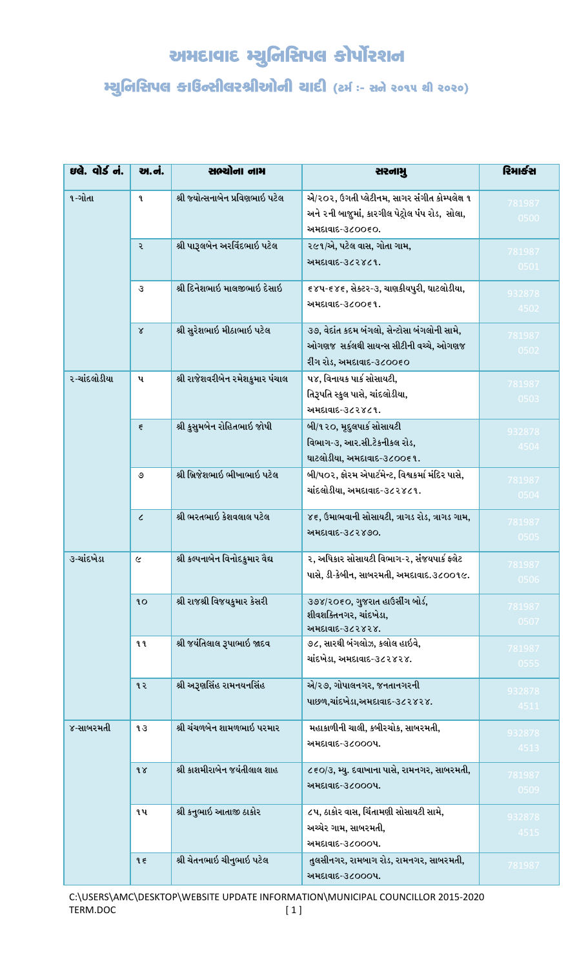## અમદાવાદ મ્યુનિસિપલ કોર્પોરશન

## મ્યુનિરિાપલ કાઉન્સીલરશ્રીઓની ચાદી (ટર્મઃ- સને ૨૦૧૫ થી ૨૦૨૦)

| ઇલે. વોર્ડ નં. | <u>આ.નં.</u>       | સભ્યોના નામ                      | સરનામુ                                                                                                             | રિમાર્કસ       |
|----------------|--------------------|----------------------------------|--------------------------------------------------------------------------------------------------------------------|----------------|
| ૧-ગોતા         | $\mathbf{q}$       | શ્રી જ્યોત્સનાબેન પ્રવિણભાઇ પટેલ | એ/૨૦૨, ઉગતી પ્લેટીનમ, સાગર સંગીત કોમ્પલેક્ષ ૧<br>અને ૨ની બાજુમાં, કારગીલ પેટ્રોલ પંપ રોડ, સોલા,<br>અમદાવાદ-૩૮૦૦૬૦. | 781987<br>0500 |
|                | ર                  | શ્રી પારૂલબેન અરવિંદભાઇ પટેલ     | ૨૯૧/એ, પટેલ વાસ, ગોતા ગામ,<br>અમદાવાદ-૩૮૨૪૮૧.                                                                      | 781987<br>0501 |
|                | 3                  | શ્રી દિનેશભાઇ માલજીભાઇ દેસાઇ     | ૬૪૫-૬૪૬, સેક્ટર-૩, ચાણકીયપુરી, ઘાટલોડીયા,<br>અમદાવાદ-૩૮૦૦૬૧.                                                       | 932878<br>4502 |
|                | $\chi$             | શ્રી સુરેશભાઇ મીઠાભાઇ પટેલ       | ૩૭, વેદાંત કદમ બંગલો, સેન્ટોસા બંગલોની સામે,<br>ઓગણજ સર્કલથી સાયન્સ સીટીની વચ્ચે, ઓગણજ<br>રીંગ રોડ, અમદાવાદ-૩૮૦૦૬૦ | 781987<br>0502 |
| ર-ચાંદલોડીયા   | પ                  | શ્રી રાજેશવરીબેન રમેશકુમાર પંચાલ | ૫૪, વિનાયક પાર્ક સોસાયટી,<br>તિરૂપતિ સ્કુલ પાસે, ચાંદલોડીયા,<br>અમદાવાદ-૩૮૨૪૮૧.                                    | 781987<br>0503 |
|                | $\boldsymbol{\xi}$ | શ્રી કુસુમબેન રોહિતભાઇ જોષી      | બી/૧૨૦, મૃદુલપાર્ક સોસાયટી<br>વિભાગ-૩, આર.સી.ટેકનીકલ રોડ,<br>ઘાટલોડીયા, અમદાવાદ-૩૮૦૦૬૧.                            | 932878<br>4504 |
|                | ৩                  | શ્રી બ્રિજેશભાઇ ભીખાભાઇ પટેલ     | બી/પ૦૨, ફોરમ એપાર્ટમેન્ટ, વિશ્વકર્મા મંદિર પાસે,<br>ચાંદલોડીયા, અમદાવાદ-૩૮૨૪૮૧.                                    | 781987<br>0504 |
|                | $\epsilon$         | શ્રી ભરતભાઇ કેશવલાલ પટેલ         | ૪૬, ઉમાભવાની સોસાયટી, ત્રાગડ રોડ, ત્રાગડ ગામ,<br>અમદાવાદ-૩૮૨૪૭૦.                                                   | 781987<br>0505 |
| ૩-ચાંદખેડા     | $\epsilon$         | શ્રી કલ્પનાબેન વિનોદકુમાર વૈદ્ય  | ૨, અધિકાર સોસાયટી વિભાગ-૨, સંજયપાર્ક ફ્લેટ<br>પાસે, ડી-કેબીન, સાબરમતી, અમદાવાદ.૩૮૦૦૧૯.                             | 781987<br>0506 |
|                | 90                 | શ્રી રાજશ્રી વિજયકુમાર કેસરી     | ૩૭૪/૨૦૬૦, ગુજરાત હાઉસીંગ બોર્ડ,<br>શીવશક્તિનગર, ચાંદખેડા,<br>અમદાવાદ-૩૮૨૪૨૪.                                       | 781987<br>0507 |
|                | ૧૧                 | શ્રી જયંતિલાલ રૂપાભાઇ જાદવ       | ૭૮, સારથી બંગલોઝ, કલોલ હાઇવે,<br>ચાંદખેડા, અમદાવાદ-૩૮૨૪૨૪.                                                         | 781987<br>0555 |
|                | ૧૨                 | શ્રી અરૂણસિંહ રામનયનસિંહ         | એ/૨૭, ગોપાલનગર, જનતાનગરની<br>પાછળ,ચાંદખેડા,અમદાવાદ-૩૮૨૪૨૪.                                                         | 932878<br>4511 |
| ૪-સાબરમતી      | 43                 | શ્રી ચંચળબેન શામળભાઇ પરમાર       | મહાકાળીની ચાલી, કબીરચોક, સાબરમતી,<br>અમદાવાદ-૩૮૦૦૦૫.                                                               | 932878<br>4513 |
|                | $\delta$           | શ્રી કાશમીરાબેન જયંતીલાલ શાહ     | ૮૬૦/૩, મ્યુ. દવાખાના પાસે, રામનગર, સાબરમતી,<br>અમદાવાદ-૩૮૦૦૦૫.                                                     | 781987<br>0509 |
|                | ૧પ                 | શ્રી કનુભાઇ આતાજી ઠાકોર          | ૮૫, ઠાકોર વાસ, ચિંતામણી સોસાયટી સામે,<br>અચ્ચેર ગામ, સાબરમતી,<br>અમદાવાદ-૩૮૦૦૦૫.                                   | 932878<br>4515 |
|                | 95                 | શ્રી ચેતનભાઇ ચીનુભાઇ પટેલ        | તુલસીનગર, રામબાગ રોડ, રામનગર, સાબરમતી,<br>અમદાવાદ-૩૮૦૦૦૫.                                                          | 781987         |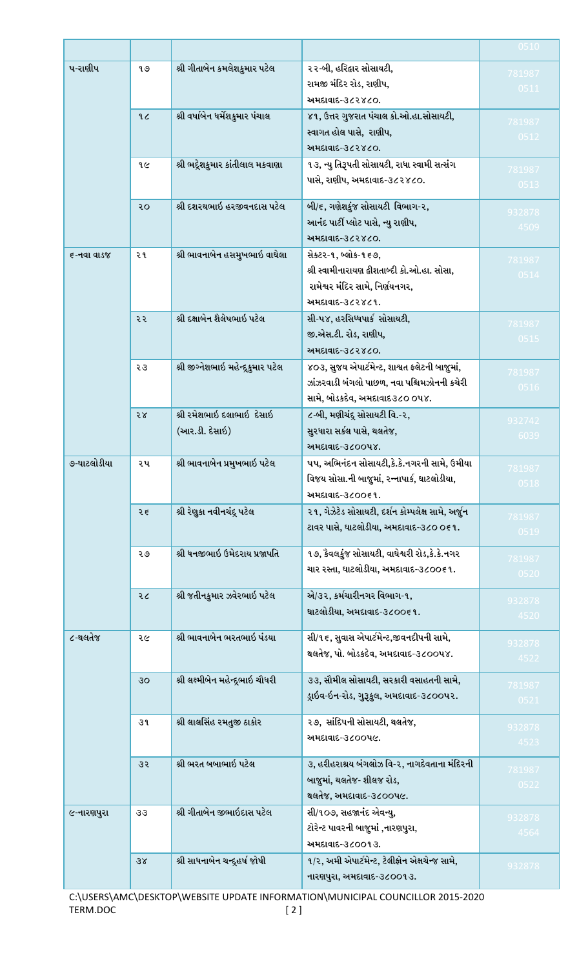|             |                |                                    |                                                    | 0510           |
|-------------|----------------|------------------------------------|----------------------------------------------------|----------------|
| પ-રાણીપ     | 9 O            | શ્રી ગીતાબેન કમલેશકુમાર પટેલ       | ૨૨-બી, હરિદ્વાર સોસાયટી,                           | 781987         |
|             |                |                                    | રામજી મંદિર રોડ, રાણીપ,                            | 0511           |
|             |                |                                    | અમદાવાદ-૩૮૨૪૮૦.                                    |                |
|             | 9 <sub>c</sub> | શ્રી વર્ષાબેન ધર્મેશકુમાર પંચાલ    | ૪૧, ઉત્તર ગુજરાત પંચાલ કો.ઓ.હા.સોસાયટી,            | 781987         |
|             |                |                                    | સ્વાગત હોલ પાસે, રાણીપ,                            | 0512           |
|             |                |                                    | અમદાવાદ-૩૮૨૪૮૦.                                    |                |
|             | १૯             | શ્રી ભદ્રેશકુમાર કાંતીલાલ મકવાણા   | ૧૩, ન્યુ તિરૂપતી સોસાયટી, રાધા સ્વામી સત્સંગ       | 781987         |
|             |                |                                    | પાસે, રાણીપ, અમદાવાદ-૩૮૨૪૮૦.                       | 0513           |
|             | २०             | શ્રી દશરથભાઇ હરજીવનદાસ પટેલ        | બી/૬, ગણેશકુંજ સોસાયટી વિભાગ-૨,                    |                |
|             |                |                                    | આનંદ પાર્ટી પ્લોટ પાસે, ન્યુ રાણીપ,                | 932878         |
|             |                |                                    | અમદાવાદ-૩૮૨૪૮૦.                                    | 4509           |
| ૬-નવા વાડજ  | ર ૧            | શ્રી ભાવનાબેન હસમુખભાઇ વાઘેલા      | સેક્ટર-૧, બ્લોક-૧૬૭,                               |                |
|             |                |                                    | શ્રી સ્વામીનારાયણ દ્વીશતાબ્દી કો.ઓ.હા. સોસા,       | 781987<br>0514 |
|             |                |                                    | રામેશ્વર મંદિર સામે, નિર્ણયનગર,                    |                |
|             |                |                                    | અમદાવાદ-૩૮૨૪૮૧.                                    |                |
|             | ૨૨             | શ્રી દક્ષાબેન શૈલેષભાઇ પટેલ        | સી-૫૪, હરસિધ્ધપાર્ક સોસાયટી,                       | 781987         |
|             |                |                                    | જી.એસ.ટી. રોડ, રાણીપ,                              | 0515           |
|             |                |                                    | અમદાવાદ-૩૮૨૪૮૦.                                    |                |
|             | २३             | શ્રી જીગ્નેશભાઇ મહેન્દ્રકુમાર પટેલ | ૪૦૩, સુજય એપાર્ટમેન્ટ, શાશ્વત ફલેટની બાજુમાં,      | 781987         |
|             |                |                                    | ઝાંઝરવાડી બંગલો પાછળ, નવા પશ્ચિમઝોનની કચેરી        | 0516           |
|             |                |                                    | સામે, બોડકદેવ, અમદાવાદ૩૮૦ ૦૫૪.                     |                |
|             | 58             | શ્રી રમેશભાઇ દલાભાઇ દેસાઇ          | ૮-બી, મણીચંદૂ સોસાયટી વિ.-૨,                       | 932742         |
|             |                | (આર.ડી. દેસાઇ)                     | સુરધારા સર્કલ પાસે, થલતેજ,                         | 6039           |
|             |                |                                    | અમદાવાદ-૩૮૦૦૫૪.                                    |                |
| ૭-ઘાટલોડીયા | ૨૫             | શ્રી ભાવનાબેન પ્રમુખભાઇ પટેલ       | ૫૫, અભિનંદન સોસાયટી,કે.કે.નગરની સામે, ઉમીયા        | 781987         |
|             |                |                                    | વિજય સોસા.ની બાજુમાં, રન્નાપાર્ક, ઘાટલોડીયા,       | 0518           |
|             |                |                                    | અમદાવાદ-૩૮૦૦૬૧.                                    |                |
|             | २६             | શ્રી રેણુકા નવીનચંદૂ પટેલ          | ૨૧, ગેઝેટેડ સોસાયટી, દર્શન કોમ્પલેક્ષ સામે, અર્જુન | 781987         |
|             |                |                                    | ટાવર પાસે, ઘાટલોડીયા, અમદાવાદ-૩૮૦ ૦૬૧.             | 0519           |
|             | २७             | શ્રી ધનજીભાઇ ઉમેદરાય પ્રજાપતિ      | ૧૭, કેવલકુંજ સોસાયટી, વાઘેશ્વરી રોડ,કે.કે.નગર      | 781987         |
|             |                |                                    | ચાર રસ્તા, ઘાટલોડીયા, અમદાવાદ-૩૮૦૦૬૧.              | 0520           |
|             | २८             | શ્રી જતીનકુમાર ઝવેરભાઇ પટેલ        | એ/૩૨, કર્મચારીનગર વિભાગ-૧,                         |                |
|             |                |                                    | ઘાટલોડીયા, અમદાવાદ-૩૮૦૦૬૧.                         | 932878         |
|             |                |                                    |                                                    | 4520           |
| ૮-થલતેજ     | २૯             | શ્રી ભાવનાબેન ભરતભાઇ પંડયા         | સી/૧૬, સુવાસ એપાર્ટમેન્ટ,જીવનદીપની સામે,           | 932878         |
|             |                |                                    | થલતેજ, પો. બોડકદેવ, અમદાવાદ-૩૮૦૦૫૪.                | 4522           |
|             | 30             | શ્રી લક્ષ્મીબેન મહેન્દૂભાઇ ચૌધરી   | ૩૩, સૌમીલ સોસાયટી, સરકારી વસાહતની સામે,            |                |
|             |                |                                    | ડ્રાઇવ-ઇન-રોડ, ગુરૂકુલ, અમદાવાદ-૩૮૦૦પ૨.            | 781987         |
|             |                |                                    |                                                    | 0521           |
|             | 39             | શ્રી લાલસિંહ રમતુજી ઠાકોર          | ૨૭, સાંદિપની સોસાયટી, થલતેજ,                       | 932878         |
|             |                |                                    | અમદાવાદ-૩૮૦૦પ૯.                                    | 4523           |
|             | उ२             | શ્રી ભરત બબાભાઇ પટેલ               | ૩, હરીહરાશ્રય બંગલોઝ વિ-૨, નાગદેવતાના મંદિરની      |                |
|             |                |                                    | બાજુમાં, થલતેજ- શીલજ રોડ,                          | 781987         |
|             |                |                                    | થલતેજ, અમદાવાદ-૩૮૦૦પ૯.                             | 0522           |
| ૯-નારણપુરા  | 33             | શ્રી ગીતાબેન જીભાઇદાસ પટેલ         | સી/૧૦૭, સહજાનંદ એવન્યુ,                            |                |
|             |                |                                    | ટોરેન્ટ પાવરની બાજુમાં ,નારણપુરા,                  | 932878         |
|             |                |                                    | અમદાવાદ-૩૮૦૦૧૩.                                    | 4564           |
|             | 38             | શ્રી સાધનાબેન ચન્દૂહર્ષ જોષી       | ૧/૨, અમી એપાર્ટમેન્ટ, ટેલીફોન એક્ષચેન્જ સામે,      | 932878         |
|             |                |                                    | નારણપુરા, અમદાવાદ-૩૮૦૦૧૩.                          |                |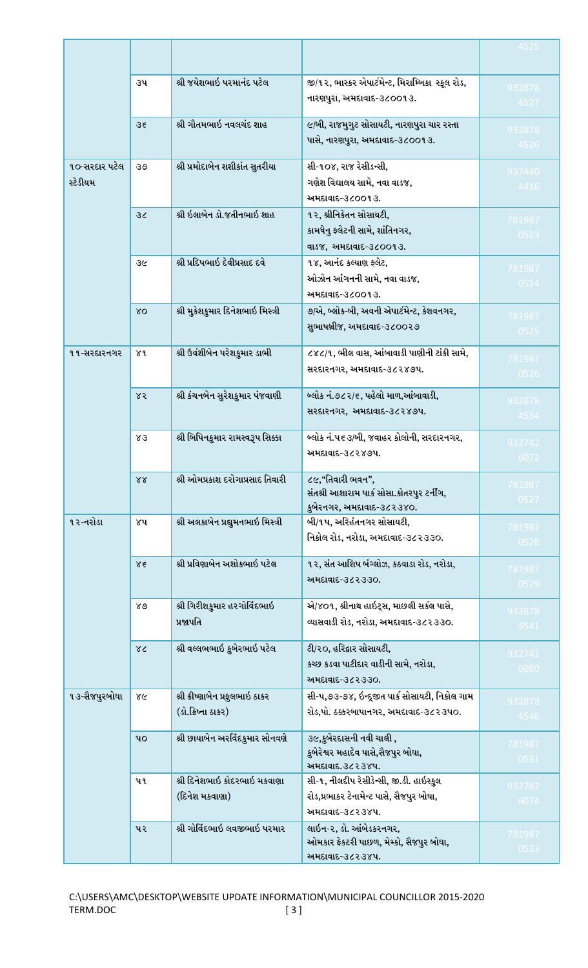|                           |                 |                                                       |                                                                                                         | 4525           |
|---------------------------|-----------------|-------------------------------------------------------|---------------------------------------------------------------------------------------------------------|----------------|
|                           | ૩૫              | શ્રી જયેશભાઇ પરમાનંદ પટેલ                             | જી/૧૨, ભાસ્કર એપાર્ટમેન્ટ, મિરામ્બિકા સ્કૂલ રોડ,<br>નારણપુરા, અમદાવાદ-૩૮૦૦૧૩.                           | 932878<br>4527 |
|                           | $3\xi$          | શ્રી ગૌતમભાઇ નવલચંદ શાહ                               | ૯/બી, રાજમુગુટ સોસાયટી, નારણપુરા ચાર રસ્તા<br>પાસે, નારણપુરા, અમદાવાદ-૩૮૦૦૧૩.                           | 932878<br>4526 |
| ૧૦-સરદાર પટેલ<br>સ્ટેડીયમ | ওও              | શ્રી પ્રમોદાબેન શશીકાંત સુતરીયા                       | સી-૧૦૪, રાજ રેસીડન્સી,<br>ગણેશ વિદ્યાલય સામે, નવા વાડજ,<br>અમદાવાદ-૩૮૦૦૧૩.                              | 937440<br>4416 |
|                           | 3 <sub>c</sub>  | શ્રી ઇલાબેન ડો.જતીનભાઇ શાહ                            | ૧૨, શ્રીનિકેતન સોસાયટી,<br>કામધેનુ ફ્લેટની સામે, શાંતિનગર,<br>વાડજ, અમદાવાદ-૩૮૦૦૧૩.                     | 781987<br>0523 |
|                           | उ૯              | શ્રી પ્રદિપભાઇ દેવીપ્રસાદ દવે                         | ૧૪, આનંદ કલ્યાણ ફ્લેટ,<br>ઓઝોન આંગનની સામે, નવા વાડજ,<br>અમદાવાદ-૩૮૦૦૧૩.                                | 781987<br>0524 |
|                           | XQ              | શ્રી મુકેશકુમાર દિનેશભાઇ મિસ્ત્રી                     | ૭/એ, બ્લોક-બી, અવની એપાર્ટમેન્ટ, કેશવનગર,<br>સુભાષબ્રીજ, અમદાવાદ-૩૮૦૦૨૭                                 | 781987<br>0525 |
| ૧૧-સરદારનગર               | ४१              | શ્રી ઉર્વશીબેન પરેશકુમાર ડાભી                         | ૮૪૮/૧, ભીલ વાસ, આંબાવાડી પાણીની ટાંકી સામે,<br>સરદારનગર, અમદાવાદ-૩૮૨૪૭૫.                                | 781987<br>0526 |
|                           | 85              | શ્રી કંચનબેન સુરેશકુમાર પંજવાણી                       | બ્લોક નં.૭૮૨/૬, પહેલો માળ,આંબાવાડી,<br>સરદારનગર, અમદાવાદ-૩૮૨૪૭૫.                                        | 932878<br>4534 |
|                           | Χ3              | શ્રી બિપિનકુમાર રામસ્વરૂપ સિક્કા                      | બ્લોક નં.પ૬૩/બી, જવાહર કોલોની, સરદારનગર,<br>અમદાવાદ-૩૮૨૪૭૫.                                             | 932742<br>6072 |
|                           | $X\overline{X}$ | શ્રી ઓમપ્રકાશ દરોગાપ્રસાદ તિવારી                      | ૮૯,"તિવારી ભવન",<br>સંતશ્રી આશારામ પાર્ક સોસા.કોતરપુર ટર્નીંગ,<br>કુબેરનગર, અમદાવાદ-૩૮૨૩૪૦.             | 781987<br>0527 |
| ૧૨-નરોડા                  | ४५              | શ્રી અલકાબેન પ્રદ્યુમનભાઇ મિસ્ત્રી                    | <b>બી/૧૫, અરિહંતનગર સોસાયટી,</b><br>નિકોલ રોડ, નરોડા, અમદાવાદ-૩૮૨૩૩૦.                                   | 781987<br>0528 |
|                           | $\lambda \xi$   | શ્રી પ્રવિણાબેન અશોકભાઇ પટેલ                          | ૧૨, સંત આશિષ બંગ્લોઝ, કઠવાડા રોડ, નરોડા,<br>અમદાવાદ-૩૮૨૩૩૦.                                             | 781987<br>0529 |
|                           | 89              | શ્રી ગિરીશકુમાર હરગોવિંદભાઇ<br>પ્રજાપતિ               | એ/૪૦૧, શ્રીનાથ હાઇટ્સ, માછલી સર્કલ પાસે,<br>વ્યાસવાડી રોડ, નરોડા, અમદાવાદ-૩૮૨૩૩૦.                       | 932878<br>4541 |
|                           | $\chi$          | શ્રી વલ્લભભાઇ કુબેરભાઇ પટેલ                           | ટી/૨૦, હરિદ્વાર સોસાયટી,<br>કચ્છ કડવા પાટીદાર વાડીની સામે, નરોડા,<br>અમદાવાદ-૩૮૨૩૩૦.                    | 932742<br>6080 |
| ૧૩-સૈજપુરબોઘા             | ४૯              | શ્રી ક્રીષ્ણાબેન પ્રફુલભાઇ ઠાકર<br>(ડો.ક્રિષ્ના ઠાકર) | સી-પ,૭૩-૭૪, ઇન્દૂજીત પાર્ક સોસાયટી, નિકોલ ગામ<br>રોડ,પો. ઠક્કરબાપાનગર, અમદાવાદ-૩૮૨૩૫૦.                  | 932878<br>4546 |
|                           | 90 <sub>q</sub> | શ્રી છાયાબેન અરવિંદકુમાર સોનવણે                       | ૩૯,કુબેરદાસની નવી ચાલી ,<br>કુબેરેશ્વર મહાદેવ પાસે,સૈજપુર બોઘા,<br>અમદાવાદ.૩૮૨૩૪૫.                      | 781987<br>0531 |
|                           | પ૧              | શ્રી દિનેશભાઇ કોદરભાઇ મકવાણા<br>(દિનેશ મકવાણા)        | સી-૧, નીલદીપ રેસીડેન્સી, જી.ડી. હાઇસ્કુલ<br>રોડ,પ્રભાકર ટેનામેન્ટ પાસે, સૈજપુર બોઘા,<br>અમદાવાદ-૩૮૨૩૪૫. | 932742<br>6074 |
|                           | પર              | શ્રી ગોવિંદભાઇ લવજીભાઇ પરમાર                          | લાઇન-૨, ડો. આંબેડકરનગર,<br>ઓમકાર ફેકટરી પાછળ, મેમ્કો, સૈજપુર બોઘા,<br>અમદાવાદ-૩૮૨૩૪૫.                   | 781987<br>0533 |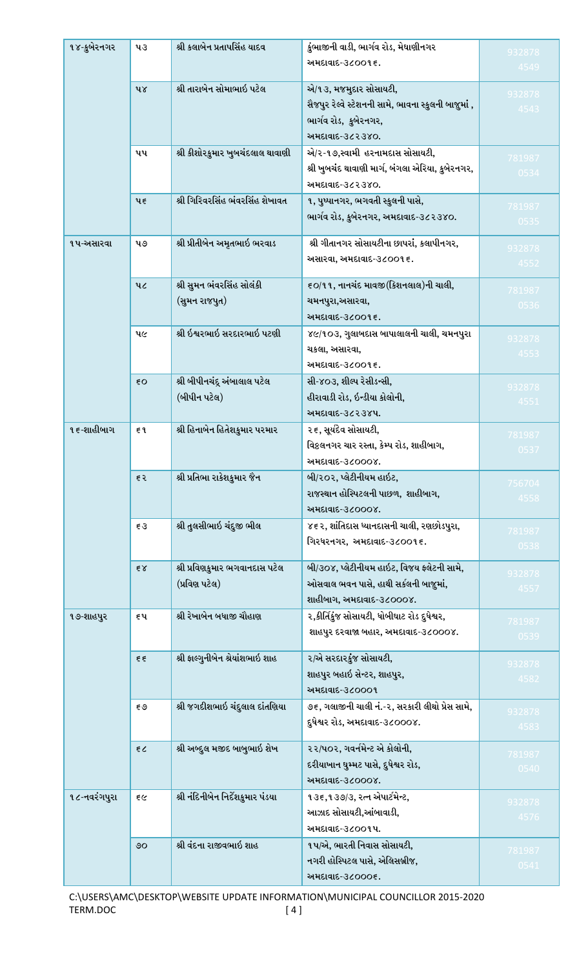| ૧૪-કુબેરનગર  | પ૩              | શ્રી કલાબેન પ્રતાપસિંહ યાદવ       | કુંભાજીની વાડી, ભાર્ગવ રોડ, મેઘાણીનગર<br>અમદાવાદ-૩૮૦૦૧૬.                                                                   | 932878<br>4549 |
|--------------|-----------------|-----------------------------------|----------------------------------------------------------------------------------------------------------------------------|----------------|
|              | પ૪              | શ્રી તારાબેન સોમાભાઇ પટેલ         | એ/૧૩, મજમુદાર સોસાયટી,<br>સૈજપુર રેલ્વે સ્ટેશનની સામે, ભાવના સ્કુલની બાજુમાં ,<br>ભાર્ગવ રોડ, કુબેરનગર,<br>અમદાવાદ-૩૮૨૩૪૦. | 932878<br>4543 |
|              | પપ              | શ્રી કીશોરકુમાર ખુબચંદલાલ થાવાણી  | એ/૨-૧૭,સ્વામી હરનામદાસ સોસાયટી,<br>શ્રી ખુબચંદ થાવાણી માર્ગ, બંગલા એરિયા, કુબેરનગર,<br>અમદાવાદ-૩૮૨૩૪૦.                     | 781987<br>0534 |
|              | પ $\epsilon$    | શ્રી ગિરિવરસિંહ ભંવરસિંહ શેખાવત   | ૧, પુષ્પાનગર, ભગવતી સ્કુલની પાસે,<br>ભાર્ગવ રોડ, કુબેરનગર, અમદાવાદ-૩૮૨૩૪૦.                                                 | 781987<br>0535 |
| ૧પ-અસારવા    | ૫૭              | શ્રી પ્રીતીબેન અમૃતભાઇ ભરવાડ      | શ્રી ગીતાનગર સોસાયટીના છાપરાં, કલાપીનગર,<br>અસારવા, અમદાવાદ-૩૮૦૦૧ ૬.                                                       | 932878<br>4552 |
|              | ૫૮              | શ્રી સુમન ભંવરસિંહ સોલંકી         | ૬૦/૧૧, નાનચંદ માવજી (કિશનલાલ)ની ચાલી,                                                                                      | 781987         |
|              |                 | (સુમન રાજપુત)                     | ચમનપુરા,અસારવા,                                                                                                            | 0536           |
|              |                 |                                   | અમદાવાદ-૩૮૦૦૧૬.                                                                                                            |                |
|              | પ૯              | શ્રી ઇશ્વરભાઇ સરદારભાઇ પટણી       | ૪૯/૧૦૩, ગુલાબદાસ બાપાલાલની ચાલી, ચમનપુરા                                                                                   | 932878         |
|              |                 |                                   | ચકલા, અસારવા,<br>અમદાવાદ-૩૮૦૦૧૬.                                                                                           | 4553           |
|              | ξO              | શ્રી બીપીનચંદૂ અંબાલાલ પટેલ       | સી-૪૦૩, શીલ્પ રેસીડન્સી,                                                                                                   |                |
|              |                 | (બીપીન પટેલ)                      | હીરાવાડી રોડ, ઇન્ડીયા કોલોની,                                                                                              | 932878         |
|              |                 |                                   | અમદાવાદ-૩૮૨૩૪૫.                                                                                                            | 4551           |
| ૧૬-શાહીબાગ   | ξ٩              | શ્રી હિનાબેન હિતેશકુમાર પરમાર     | ૨૬, સૂર્યદેવ સોસાયટી,                                                                                                      | 781987         |
|              |                 |                                   | વિકલનગર ચાર રસ્તા, કેમ્પ રોડ, શાહીબાગ,                                                                                     | 0537           |
|              |                 |                                   | અમદાવાદ-૩૮૦૦૦૪.                                                                                                            |                |
|              | इ २             | શ્રી પ્રતિભા રાકેશકુમાર જૈન       | બી/૨૦૨, પ્લેટીનીયમ હાઇટ,                                                                                                   | 756704         |
|              |                 |                                   | રાજસ્થાન હોસ્પિટલની પાછળ, શાહીબાગ,                                                                                         | 4558           |
|              |                 |                                   | અમદાવાદ-૩૮૦૦૦૪.                                                                                                            |                |
|              | $\xi$ 3         | શ્રી તુલસીભાઇ ચંદુજી ભીલ          | ૪૬૨, શાંતિદાસ ધ્યાનદાસની ચાલી, રણછોડપુરા,<br>ગિરધરનગર, અમદાવાદ-૩૮૦૦૧૬.                                                     | 781987<br>0538 |
|              | $\xi \chi$      | શ્રી પ્રવિણકુમાર ભગવાનદાસ પટેલ    | બી/૩૦૪, પ્લેટીનીયમ હાઇટ, વિજય ફ્લેટની સામે,                                                                                | 932878         |
|              |                 | (પ્રવિણ પટેલ)                     | ઓસવાલ ભવન પાસે, હાથી સર્કલની બાજુમાં,                                                                                      | 4557           |
|              |                 |                                   | શાહીબાગ, અમદાવાદ-૩૮૦૦૦૪.                                                                                                   |                |
| ૧૭-શાહપુર    | ૬પ              | શ્રી રેખાબેન બધાજી ચૌહાણ          | ૨,કીર્તિકુંજ સોસાયટી, ધોબીઘાટ રોડ દુધેશ્વર,                                                                                | 781987         |
|              |                 |                                   | શાહપુર દરવાજા બહાર, અમદાવાદ-૩૮૦૦૦૪.                                                                                        | 0539           |
|              | $\xi \xi$       | શ્રી ફાલ્ગુનીબેન શ્રેયાંશભાઇ શાહ  | ર/એ સરદારકુંજ સોસાયટી,                                                                                                     | 932878         |
|              |                 |                                   | શાહપુર બહાઇ સેન્ટર, શાહપુર,                                                                                                | 4582           |
|              |                 |                                   | અમદાવાદ-૩૮૦૦૦૧                                                                                                             |                |
|              | $\varepsilon$ ৩ | શ્રી જગદીશભાઇ ચંદુલાલ દાંતણિયા    | ૭૬, ગલાજીની ચાલી નં.-૨, સરકારી લીથો પ્રેસ સામે,                                                                            | 932878         |
|              |                 |                                   | દુધેશ્વર રોડ, અમદાવાદ-૩૮૦૦૦૪.                                                                                              | 4583           |
|              | 55              | શ્રી અબ્દુલ મજીદ બાબુભાઇ શેખ      | ૨૨/૫૦૨, ગવર્નમેન્ટ એ કોલોની,                                                                                               |                |
|              |                 |                                   | દરીયાખાન ઘુમ્મટ પાસે, દુધેશ્વર રોડ,                                                                                        | 781987         |
|              |                 |                                   | અમદાવાદ-૩૮૦૦૦૪.                                                                                                            | 0540           |
| ૧૮-નવરંગપુરા | $\epsilon$      | શ્રી નંદિનીબેન નિર્દેશકુમાર પંડયા | ૧૩૬,૧૩૭/૩, રત્ન એપાર્ટમેન્ટ,                                                                                               | 932878         |
|              |                 |                                   | આઝાદ સોસાયટી,આંબાવાડી,                                                                                                     | 4576           |
|              |                 |                                   | અમદાવાદ-૩૮૦૦૧૫.                                                                                                            |                |
|              | $\circ$         | શ્રી વંદના રાજીવભાઇ શાહ           | ૧૫/એ, ભારતી નિવાસ સોસાયટી,                                                                                                 | 781987         |
|              |                 |                                   | નગરી હોસ્પિટલ પાસે, એલિસબ્રીજ,                                                                                             | 0541           |
|              |                 |                                   | અમદાવાદ-૩૮૦૦૦૬.                                                                                                            |                |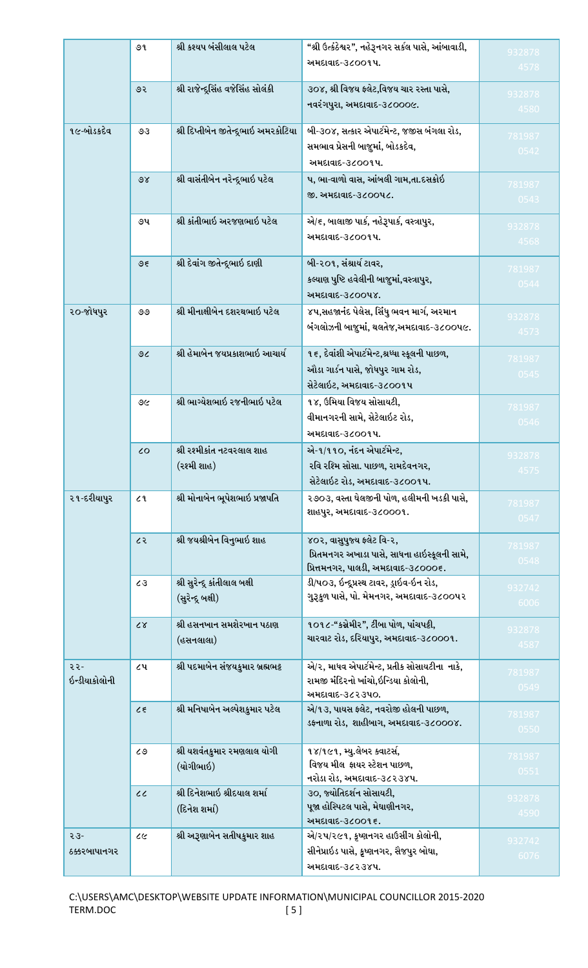|               | ৩૧             | શ્રી કશ્યપ બંસીલાલ પટેલ               | "શ્રી ઉત્કંઠેશ્વર", નહેરૂનગર સર્કલ પાસે, આંબાવાડી,                                  | 932878 |
|---------------|----------------|---------------------------------------|-------------------------------------------------------------------------------------|--------|
|               |                |                                       | અમદાવાદ-૩૮૦૦૧૫.                                                                     | 4578   |
|               |                |                                       |                                                                                     |        |
|               | ७२             | શ્રી રાજેન્દ્રસિંહ વજેસિંહ સોલંકી     | ૩૦૪, શ્રી વિજય ફ્લેટ,વિજય ચાર રસ્તા પાસે,                                           | 932878 |
|               |                |                                       | નવરંગપુરા, અમદાવાદ-૩૮૦૦૦૯.                                                          | 4580   |
| ૧૯-બોડકદેવ    | 93             | શ્રી દિપ્તીબેન જીતેન્દ્રભાઇ અમરકોટિયા | બી-૩૦૪, સત્કાર એપાર્ટમેન્ટ, જજીસ બંગલા રોડ,                                         | 781987 |
|               |                |                                       | સમભાવ પ્રેસની બાજુમાં, બોડકદેવ,                                                     | 0542   |
|               |                |                                       | અમદાવાદ-૩૮૦૦૧૫.                                                                     |        |
|               | 98             | શ્રી વાસંતીબેન નરેન્દ્રભાઇ પટેલ       | પ, ભા-વાળો વાસ, આંબલી ગામ,તા.દસક્રોઇ                                                |        |
|               |                |                                       | જી. અમદાવાદ-૩૮૦૦૫૮.                                                                 | 781987 |
|               |                |                                       |                                                                                     | 0543   |
|               | ૭૫             | શ્રી કાંતીભાઇ અરજણભાઇ પટેલ            | એ/૬, બાલાજી પાર્ક, નહેરૂપાર્ક, વસ્ત્રાપુર,                                          | 932878 |
|               |                |                                       | અમદાવાદ-૩૮૦૦૧૫.                                                                     | 4568   |
|               |                |                                       |                                                                                     |        |
|               | 95             | શ્રી દેવાંગ જીતેન્દૂભાઇ દાણી          | બી-૨૦૧, સંશ્રાર્ય ટાવર,                                                             | 781987 |
|               |                |                                       | કલ્યાણ પુષ્ટિ હવેલીની બાજુમાં,વસ્ત્રાપુર,                                           | 0544   |
|               |                |                                       | અમદાવાદ-૩૮૦૦૫૪.                                                                     |        |
| ૨૦-જોધપુર     | ೨೨             | શ્રી મીનાક્ષીબેન દશરથભાઇ પટેલ         | ૪૫,સહજાનંદ પેલેસ, સિંધુ ભવન માર્ગ, અરમાન                                            | 932878 |
|               |                |                                       | બંગલોઝની બાજુમાં, થલતેજ,અમદાવાદ-૩૮૦૦૫૯.                                             | 4573   |
|               |                |                                       |                                                                                     |        |
|               | 9 <sub>6</sub> | શ્રી હેમાબેન જયપ્રકાશભાઇ આચાર્ય       | ૧૬, દેવાંશી એપાર્ટમેન્ટ,શ્રધ્ધા સ્કૂલની પાછળ,                                       | 781987 |
|               |                |                                       | ઔડા ગાર્ડન પાસે, જોધપુર ગામ રોડ,                                                    | 0545   |
|               |                |                                       | સેટેલાઇટ, અમદાવાદ-૩૮૦૦૧૫                                                            |        |
|               | ৩৫             | શ્રી ભાગ્યેશભાઇ રજનીભાઇ પટેલ          | ૧૪, ઉમિયા વિજય સોસાયટી,                                                             | 781987 |
|               |                |                                       | વીમાનગરની સામે, સેટેલાઇટ રોડ,                                                       | 0546   |
|               |                |                                       | અમદાવાદ-૩૮૦૦૧૫.                                                                     |        |
|               | $\mathcal{L}$  | શ્રી રશ્મીકાંત નટવરલાલ શાહ            | એ-૧/૧૧૦, નંદન એપાર્ટમેન્ટ,                                                          | 932878 |
|               |                | (રશ્મી શાહ)                           | રવિ રશ્મિ સોસા. પાછળ, રામદેવનગર,                                                    | 4575   |
|               |                |                                       | સેટેલાઇટ રોડ, અમદાવાદ-૩૮૦૦૧પ.                                                       |        |
| ૨૧-દરીયાપુર   | 2 <sup>1</sup> | શ્રી મોનાબેન ભૂપેશભાઇ પ્રજાપતિ        | ૨૭૦૩, વસ્તા ઘેલજીની પોળ, હલીમની ખડકી પાસે,                                          | 781987 |
|               |                |                                       | શાહપુર, અમદાવાદ-૩૮૦૦૦૧.                                                             | 0547   |
|               |                |                                       |                                                                                     |        |
|               | ८२             | શ્રી જયશ્રીબેન વિનુભાઇ શાહ            | ૪૦૨, વાસુપુજ્ય ફ્લેટ વિ-૨,                                                          | 781987 |
|               |                |                                       | પ્રિતમનગર અખાડા પાસે, સાધના હાઇસ્કૂલની સામે,<br>પ્રિત્તમનગર, પાલડી, અમદાવાદ-૩૮૦૦૦૬. | 0548   |
|               | 63             | શ્રી સુરેન્દ્ર કાંતીલાલ બક્ષી         | ડી/૫૦૩, ઇન્દૂપ્રસ્થ ટાવર, ડ્રાઇવ-ઇન રોડ,                                            |        |
|               |                | (સુરેન્દ્ર બક્ષી)                     | ગુરૂકુળ પાસે, પો. મેમનગર, અમદાવાદ-૩૮૦૦પ૨                                            | 932742 |
|               |                |                                       |                                                                                     | 6006   |
|               | $\alpha$       | શ્રી હસનખાન સમશેરખાન પઠાણ             | ૧૦૧૮-"કસ્રેમીર", ટીંબા પોળ, પાંચપટ્ટી,                                              | 932878 |
|               |                | (હસનલાલા)                             | ચારવાટ રોડ, દરિયાપુર, અમદાવાદ-૩૮૦૦૦૧.                                               | 4587   |
|               |                |                                       |                                                                                     |        |
| २२-           | ૮૫             | શ્રી પદમાબેન સંજયકુમાર બ્રહ્મભટ્ટ     | એ/૨, માધવ એપાર્ટમેન્ટ, પ્રતીક સોસાયટીના નાકે,                                       | 781987 |
| ઇન્ડીયાકોલોની |                |                                       | રામજી મંદિરનો ખાંચો,ઇન્ડિયા કોલોની,<br>અમદાવાદ-૩૮૨૩૫૦.                              | 0549   |
|               | 25             | શ્રી મનિષાબેન અલ્પેશકુમાર પટેલ        | એ/૧૩, પાયસ ફ્લેટ, નવરોજી હોલની પાછળ,                                                |        |
|               |                |                                       | ડફનાળા રોડ, શાહીબાગ, અમદાવાદ-૩૮૦૦૦૪.                                                | 781987 |
|               |                |                                       |                                                                                     | 0550   |
|               | ८७             | શ્રી યશવંતકુમાર રમણલાલ યોગી           | ૧૪/૧૯૧, મ્યુ.લેબર ક્વાટર્સ,                                                         | 781987 |
|               |                | (યોગીભાઇ)                             | વિજય મીલ ફાયર સ્ટેશન પાછળ,                                                          | 0551   |
|               |                |                                       | નરોડા રોડ, અમદાવાદ-૩૮૨૩૪૫.                                                          |        |
|               | $\mathcal{C}$  | શ્રી દિનેશભાઇ શ્રીદયાલ શર્મા          | ૩૦, જ્યોતિદર્શન સોસાયટી,                                                            | 932878 |
|               |                | (દિનેશ શમાં)                          | પૂજા હોસ્પિટલ પાસે, મેઘાણીનગર,                                                      | 4590   |
|               |                |                                       | અમદાવાદ-૩૮૦૦૧૬.                                                                     |        |
| $53 -$        | ८૯             | શ્રી અરૂણાબેન સતીષકુમાર શાહ           | એ/૨૫/૨૯૧, કૃષ્ણનગર હાઉસીંગ કોલોની,                                                  | 932742 |
| ઠક્કરબાપાનગર  |                |                                       | સીનેપ્રાઇડ પાસે, કૃષ્ણનગર, સૈજપુર બોઘા,                                             | 6076   |
|               |                |                                       | અમદાવાદ-૩૮૨૩૪૫.                                                                     |        |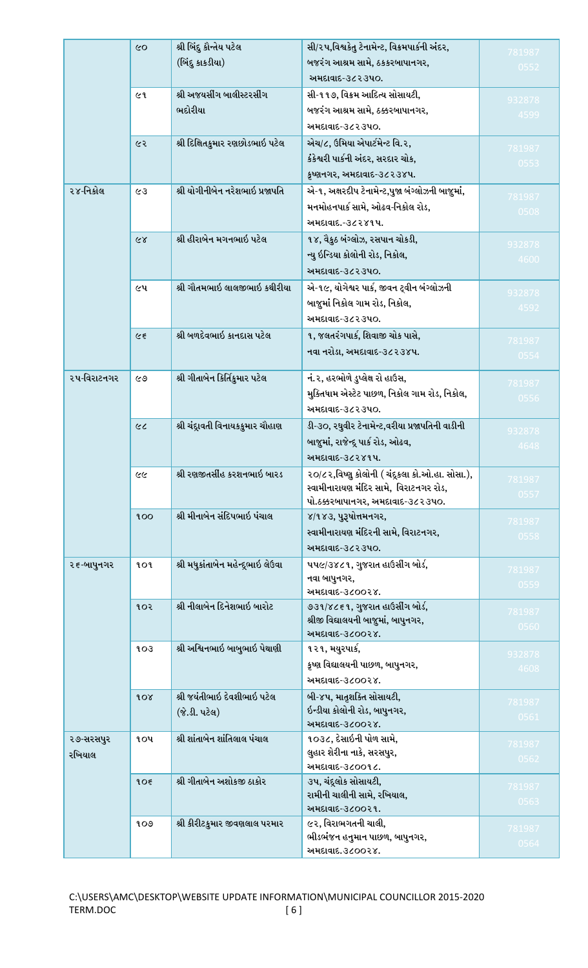|             | $\infty$   | શ્રી બિંદુ કૌન્તેય પટેલ            | સી/૨૫,વિશ્વકેતુ ટેનામેન્ટ, વિક્રમપાર્કની અંદર,                         | 781987         |
|-------------|------------|------------------------------------|------------------------------------------------------------------------|----------------|
|             |            | (બિંદુ કાકડીયા)                    | બજરંગ આશ્રમ સામે, ઠકકરબાપાનગર,                                         | 0552           |
|             |            |                                    | અમદાવાદ-૩૮૨૩૫૦.                                                        |                |
|             | ૯૧         | શ્રી અજયસીંગ બાલીસ્ટરસીંગ          | સી-૧૧૭, વિક્રમ આદિત્ય સોસાયટી,                                         | 932878         |
|             |            | ભદોરીયા                            | બજરંગ આશ્રમ સામે, ઠક્કરબાપાનગર,                                        | 4599           |
|             |            |                                    | અમદાવાદ-૩૮૨૩૫૦.                                                        |                |
|             | ૯૨         | શ્રી દિક્ષિતકુમાર રણછોડભાઇ પટેલ    | એચ/૮, ઉમિયા એપાર્ટમેન્ટ વિ.૨,                                          | 781987         |
|             |            |                                    | કંકેશ્વરી પાર્કની અંદર, સરદાર ચોક,                                     | 0553           |
|             |            |                                    | કૃષ્ણનગર, અમદાવાદ-૩૮૨૩૪૫.                                              |                |
| ૨૪-નિકોલ    | ८३         | શ્રી યોગીનીબેન નરેશભાઇ પ્રજાપતિ    | એ-૧, અક્ષરદીપ ટેનામેન્ટ,પુજા બંગ્લોઝની બાજુમાં,                        |                |
|             |            |                                    | મનમોહનપાર્ક સામે, ઓઢવ-નિકોલ રોડ,                                       | 781987<br>0508 |
|             |            |                                    | અમદાવાદ.-૩૮૨૪૧૫.                                                       |                |
|             | 68         | શ્રી હીરાબેન મગનભાઇ પટેલ           | ૧૪, વૈકુઠ બંગ્લોઝ, રસપાન ચોકડી,                                        |                |
|             |            |                                    | ન્યુ ઇન્ડિયા કોલોની રોડ, નિકોલ,                                        | 932878         |
|             |            |                                    | અમદાવાદ-૩૮૨૩૫૦.                                                        | 4600           |
|             | ૯૫         | શ્રી ગૌતમભાઇ લાલજીભાઇ કથીરીયા      | એ-૧૯, યોગેશ્વર પાર્ક, જીવન ટ્વીન બંગ્લોઝની                             |                |
|             |            |                                    | બાજુમાં નિકોલ ગામ રોડ, નિકોલ,                                          | 932878         |
|             |            |                                    | અમદાવાદ-૩૮૨૩૫૦.                                                        | 4592           |
|             | $\epsilon$ | શ્રી બળદેવભાઇ કાનદાસ પટેલ          | ૧, જલતરંગપાર્ક, શિવાજી ચોક પાસે,                                       |                |
|             |            |                                    | નવા નરોડા, અમદાવાદ-૩૮૨૩૪૫.                                             | 781987         |
|             |            |                                    |                                                                        | 0554           |
| ૨૫-વિરાટનગર | ୧୬         | શ્રી ગીતાબેન કિર્તિકુમાર પટેલ      | નં.૨, હરભોળે ડુપ્લેક્ષ રો હાઉસ,                                        | 781987         |
|             |            |                                    | મુક્તિધામ એસ્ટેટ પાછળ, નિકોલ ગામ રોડ, નિકોલ,                           | 0556           |
|             |            |                                    | અમદાવાદ-૩૮૨૩૫૦.                                                        |                |
|             | $\infty$   | શ્રી ચંદ્રાવતી વિનાયકકુમાર ચૌહાણ   | ડી-૩૦, રઘુવીર ટેનામેન્ટ,વરીયા પ્રજાપતિની વાડીની                        | 932878         |
|             |            |                                    | બાજુમાં, રાજેન્દ્ર પાર્ક રોડ, ઓઢવ,                                     | 4648           |
|             |            |                                    | અમદાવાદ-૩૮૨૪૧૫.                                                        |                |
|             | ૯૯         | શ્રી રણજીતસીંહ કરશનભાઇ બારડ        | ૨૦/૮૨,વિષ્ણુ કોલોની ( ચંદૂકલા કો.ઓ.હા. સોસા.),                         |                |
|             |            |                                    | સ્વામીનારાયણ મંદિર સામે, વિરાટનગર રોડ,                                 | 781987<br>0557 |
|             |            |                                    | પો.ઠક્કરબાપાનગર, અમદાવાદ-૩૮૨૩૫૦.                                       |                |
|             | 100        | શ્રી મીનાબેન સંદિપભાઇ પંચાલ        | ४/१४३, पुरुषोत्तमनगर,                                                  | 781987         |
|             |            |                                    | સ્વામીનારાયણ મંદિરની સામે, વિરાટનગર,                                   | 0558           |
|             |            |                                    | અમદાવાદ-૩૮૨૩૫૦.                                                        |                |
| ૨૬-બાપુનગર  | १o१        | શ્રી મધુકાંતાબેન મહેન્દ્રભાઇ લેઉવા | ૫૫૯/૩૪૮૧, ગુજરાત હાઉસીંગ બોર્ડ,                                        | 781987         |
|             |            |                                    | નવા બાપુનગર,                                                           | 0559           |
|             | १०२        | શ્રી નીલાબેન દિનેશભાઇ બારોટ        | અમદાવાદ-૩૮૦૦૨૪.                                                        |                |
|             |            |                                    | ૭૩૧/૪૮૬૧, ગુજરાત હાઉસીંગ બોર્ડ,<br>શ્રીજી વિદ્યાલયની બાજુમાં, બાપુનગર, | 781987         |
|             |            |                                    | અમદાવાદ-૩૮૦૦૨૪.                                                        | 0560           |
|             | 103        | શ્રી અશ્વિનભાઇ બાબુભાઇ પેથાણી      | ૧૨૧, મયુરપાર્ક,                                                        | 932878         |
|             |            |                                    | કૃષ્ણ વિદ્યાલયની પાછળ, બાપુનગર,                                        | 4608           |
|             |            |                                    | અમદાવાદ-૩૮૦૦૨૪.                                                        |                |
|             | 10X        | શ્રી જયંતીભાઇ દેવશીભાઇ પટેલ        | બી-૪૫, માતૃશક્તિ સોસાયટી,                                              |                |
|             |            | (જે.ડી. પટેલ)                      | ઇન્ડીયા કોલોની રોડ, બાપુનગર,                                           | 781987<br>0561 |
|             |            |                                    | અમદાવાદ-૩૮૦૦૨૪.                                                        |                |
| ૨૭-સરસપુર   | ૧oપ        | શ્રી શાંતાબેન શાંતિલાલ પંચાલ       | ૧૦૩૮, દેસાઇની પોળ સામે,                                                | 781987         |
| રખિયાલ      |            |                                    | લુહાર શેરીના નાકે, સરસપુર,                                             | 0562           |
|             |            | શ્રી ગીતાબેન અશોકજી ઠાકોર          | અમદાવાદ-૩૮૦૦૧૮.                                                        |                |
|             | 105        |                                    | ૩૫, ચંદ્રલોક સોસાયટી,<br>રામીની ચાલીની સામે, રખિયાલ,                   | 781987         |
|             |            |                                    | અમદાવાદ-૩૮૦૦૨૧.                                                        | 0563           |
|             | 9O9        | શ્રી કીરીટકુમાર જીવણલાલ પરમાર      | ૯૨, વિરાભગતની ચાલી,                                                    |                |
|             |            |                                    | ભીડભંજન હનુમાન પાછળ, બાપુનગર,                                          | 781987<br>0564 |
|             |            |                                    | અમદાવાદ.૩૮૦૦૨૪.                                                        |                |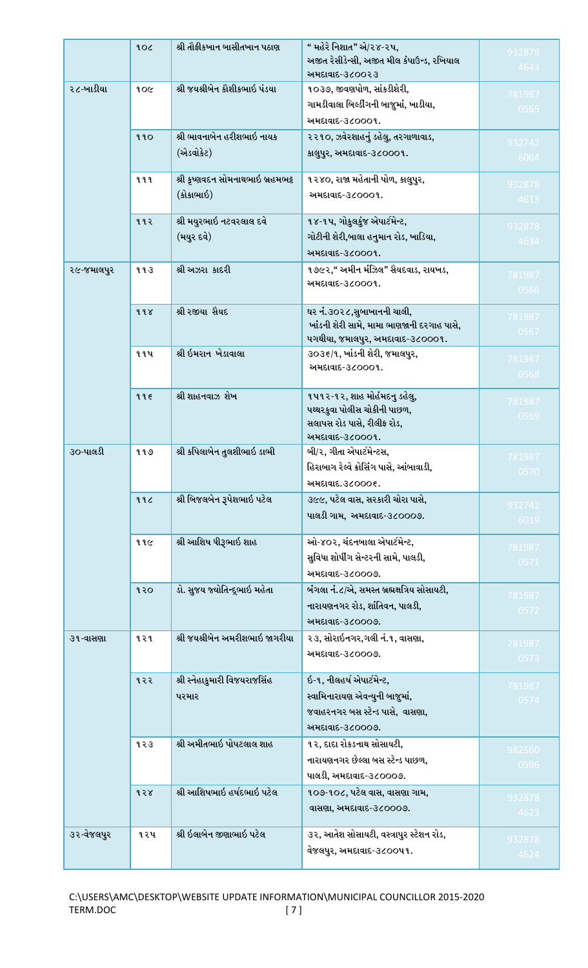|            | 30f        | શ્રી તૌફીકખાન બાસીતખાન પઠાણ       | " મહેરે નિશાત" એ/૨૪-૨૫,<br>અજીત રેસીડેન્સી, અજીત મીલ કંપાઉન્ડ, રખિયાલ | 932878 |
|------------|------------|-----------------------------------|-----------------------------------------------------------------------|--------|
|            |            |                                   | અમદાવાદ-૩૮૦૦૨૩                                                        | 4643   |
| ૨૮-ખાડીયા  | 20f        | શ્રી જયશ્રીબેન કૌશીકભાઇ પંડયા     | ૧૦૩૭, જીવણપોળ, સાંકડીશેરી,                                            | 781987 |
|            |            |                                   | ગામડીવાલા બિલ્ડીંગની બાજુમાં, ખાડીયા,                                 | 0565   |
|            |            |                                   | અમદાવાદ-૩૮૦૦૦૧.                                                       |        |
|            | 990        | શ્રી ભાવનાબેન હરીશભાઇ નાયક        | ૨૨૧૦, ઝવેરશાહનું ડહેલુ, તરગાળાવાડ,                                    | 932742 |
|            |            | (એડવોકેટ)                         | કાલુપુર, અમદાવાદ-૩૮૦૦૦૧.                                              | 6004   |
|            |            |                                   |                                                                       |        |
|            | १११        | શ્રી કૃષ્ણવદન સોમનાથભાઇ બ્રહમભટ્ટ | ૧૨૪૦, રાજા મહેતાની પોળ, કાલુપુર,                                      | 932878 |
|            |            | (કોકાભાઇ)                         | અમદાવાદ-૩૮૦૦૦૧.                                                       | 4613   |
|            | ११२        | શ્રી મયુરભાઇ નટવરલાલ દવે          | ૧૪-૧પ, ગોકુલકુંજ એપાર્ટમેન્ટ,                                         | 932878 |
|            |            | (મયુર દવે)                        | ગોટીની શેરી,બાલા હનુમાન રોડ, ખાડિયા,                                  | 4634   |
|            |            |                                   | અમદાવાદ-૩૮૦૦૦૧.                                                       |        |
| ૨૯-જમાલપુર | ११३        | શ્રી અઝરા કાદરી                   | ૧૭૯૨," અમીન મંઝિલ" સૈયદવાડ, રાયખડ,                                    |        |
|            |            |                                   | અમદાવાદ-૩૮૦૦૦૧.                                                       | 781987 |
|            |            |                                   |                                                                       | 0566   |
|            | 998        | શ્રી રજીયા સૈયદ                   | ઘર નં.૩૦૨૮,સુબાખાનની ચાલી,                                            | 781987 |
|            |            |                                   | ખાંડની શેરી સામે, મામા ભાણજાની દરગાહ પાસે,                            | 0567   |
|            |            |                                   | ૫ગથીયા, જમાલપુર, અમદાવાદ-૩૮૦૦૦૧.                                      |        |
|            | <b>૧૧૫</b> | શ્રી ઇમરાન ખેડાવાલા               | ૩૦૩૬/૧, ખાંડની શેરી, જમાલપુર,                                         | 781987 |
|            |            |                                   | અમદાવાદ-૩૮૦૦૦૧.                                                       | 0568   |
|            | 995        | શ્રી શાહનવાઝ શેખ                  | ૧૫૧૨-૧૨, શાહ મોહંમદનુ ડહેલુ,                                          |        |
|            |            |                                   | પથ્થરકુવા પોલીસ ચોકીની પાછળ,                                          | 781987 |
|            |            |                                   | સલાપસ રોડ પાસે, રીલીફ રોડ,                                            | 0569   |
|            |            |                                   | અમદાવાદ-૩૮૦૦૦૧.                                                       |        |
| ૩૦-પાલડી   | ११७        | શ્રી કપિલાબેન તુલશીભાઇ ડાભી       | બી/૨, ગીતા એપાર્ટમેન્ટસ,                                              | 781987 |
|            |            |                                   | હિરાબાગ રેલ્વે ક્રોસિંગ પાસે, આંબાવાડી,                               | 0570   |
|            |            |                                   | અમદાવાદ.3૮૦૦૦૬.                                                       |        |
|            | 996        | શ્રી બિજલબેન રૂપેશભાઇ પટેલ        | ૩૯૯, પટેલ વાસ, સરકારી ચોરા પાસે,                                      | 932742 |
|            |            |                                   | પાલડી ગામ, અમદાવાદ-૩૮૦૦૦૭.                                            | 6019   |
|            | ११૯        | શ્રી આશિષ ધીરૂભાઇ શાહ             | ઓ-૪૦૨, ચંદનબાલા એપાર્ટમેન્ટ,                                          |        |
|            |            |                                   | સુવિધા શોપીંગ સેન્ટરની સામે, પાલડી,                                   | 781987 |
|            |            |                                   | અમદાવાદ-૩૮૦૦૦૭.                                                       | 0571   |
|            |            |                                   | બંગલા નં.૮/એ, સમસ્ત બ્રહ્મક્ષત્રિય સોસાયટી,                           |        |
|            | १२०        | ડો. સુજય જ્યોતિન્દૂભાઇ મહેતા      |                                                                       | 781987 |
|            |            |                                   | નારાયણનગર રોડ, શાંતિવન, પાલડી,                                        | 0572   |
|            |            |                                   | અમદાવાદ-૩૮૦૦૦૭.                                                       |        |
| ૩૧-વાસણા   | १२१        | શ્રી જયશ્રીબેન અમરીશભાઇ જાગરીયા   | ૨૩, સોરાઇનગર,ગલી નં.૧, વાસણા,                                         | 781987 |
|            |            |                                   | અમદાવાદ-૩૮૦૦૦૭.                                                       | 0573   |
|            | १२२        | શ્રી સ્નેહાકુમારી વિજયરાજસિંહ     | ઇ-૧, નીલહર્ષ એપાર્ટમેન્ટ,                                             |        |
|            |            | પરમાર                             | સ્વામિનારાયણ એવન્યુની બાજુમાં,                                        | 781987 |
|            |            |                                   | જવાહરનગર બસ સ્ટેન્ડ પાસે, વાસણા,                                      | 0574   |
|            |            |                                   | અમદાવાદ-૩૮૦૦૦૭.                                                       |        |
|            | 933        | શ્રી અમીતભાઇ પોપટલાલ શાહ          | ૧૨, દાદા રોકડનાથ સોસાયટી,                                             |        |
|            |            |                                   | નારાયણનગર છેલ્લા બસ સ્ટેન્ડ પાછળ,                                     | 982560 |
|            |            |                                   | પાલડી, અમદાવાદ-૩૮૦૦૦૭.                                                | 0596   |
|            | १२४        | શ્રી આશિષભાઇ હર્ષદભાઇ પટેલ        | ૧૦૭-૧૦૮, પટેલ વાસ, વાસણા ગામ,                                         |        |
|            |            |                                   | વાસણા, અમદાવાદ-૩૮૦૦૦૭.                                                | 932878 |
|            |            |                                   |                                                                       | 4623   |
| ૩૨-વેજલપુર | ૧૨૫        | શ્રી ઇલાબેન જીણાભાઇ પટેલ          | ૩૨, આતેશ સોસાયટી, વસ્ત્રાપુર સ્ટેશન રોડ,                              | 932878 |
|            |            |                                   | વેજલપુર, અમદાવાદ-૩૮૦૦૫૧.                                              | 4624   |
|            |            |                                   |                                                                       |        |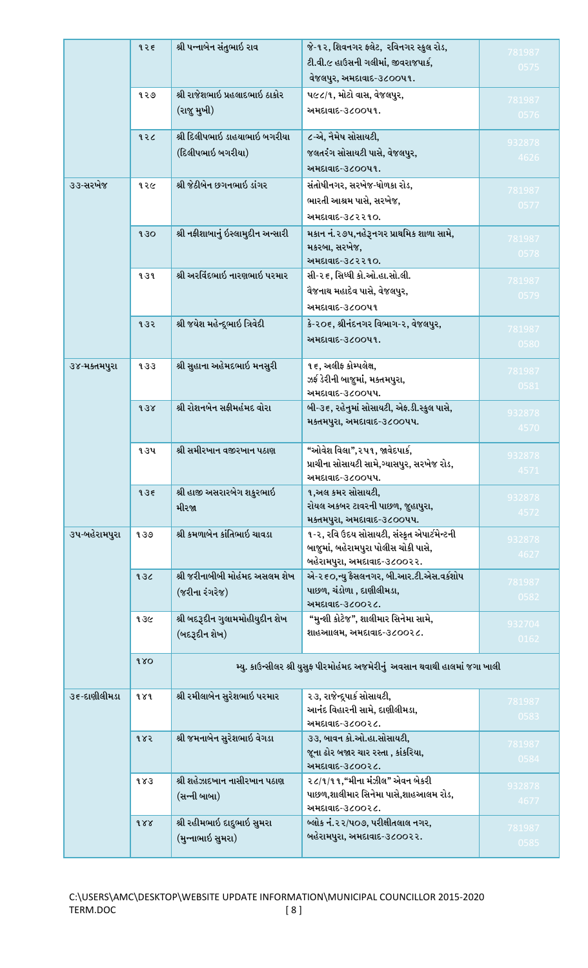|               |     |                                    | ટી.વી.૯ હાઉસની ગલીમાં, જીવરાજપાર્ક,                                                 | 0575   |
|---------------|-----|------------------------------------|-------------------------------------------------------------------------------------|--------|
|               |     |                                    | વેજલપુર, અમદાવાદ-૩૮૦૦૫૧.                                                            |        |
|               | ૧૨૭ | શ્રી રાજેશભાઇ પ્રહલાદભાઇ ઠાકોર     | ૫૯૮/૧, મોટો વાસ, વેજલપુર,                                                           | 781987 |
|               |     | (રાજુ મુખી)                        | અમદાવાદ-૩૮૦૦૫૧.                                                                     | 0576   |
|               | १२८ | શ્રી દિલીપભાઇ ડાહયાભાઇ બગરીયા      | ૮-એ, નૈમેષ સોસાયટી,                                                                 | 932878 |
|               |     | (દિલીપભાઇ બગરીયા)                  | જલતરંગ સોસાયટી પાસે, વેજલપુર,                                                       | 4626   |
|               |     |                                    | અમદાવાદ-૩૮૦૦૫૧.                                                                     |        |
| ૩૩-સરખેજ      | १२૯ | શ્રી જેઠીબેન છગનભાઇ ડાંગર          | સંતોષીનગર, સરખેજ-ધોળકા રોડ,                                                         | 781987 |
|               |     |                                    | ભારતી આશ્રમ પાસે, સરખેજ,                                                            | 0577   |
|               |     |                                    | અમદાવાદ-૩૮૨૨૧૦.                                                                     |        |
|               | 930 | શ્રી નફીશાબાનું ઇસ્લામુદીન અન્સારી | મકાન નં.૨૭૫,નહેરૂનગર પ્રાથમિક શાળા સામે,                                            |        |
|               |     |                                    | મકરબા, સરખેજ,                                                                       | 781987 |
|               |     |                                    | અમદાવાદ-૩૮૨૨૧૦.                                                                     | 0578   |
|               | 939 | શ્રી અરવિંદભાઇ નારણભાઇ પરમાર       | સી-૨૬, સિધ્ધી કો.ઓ.હા.સો.લી.                                                        | 781987 |
|               |     |                                    | વેજનાથ મહાદેવ પાસે, વેજલપુર,                                                        | 0579   |
|               |     |                                    | અમદાવાદ-૩૮૦૦૫૧                                                                      |        |
|               | १३२ | શ્રી જયેશ મહેન્દ્દભાઇ ત્રિવેદી     | કે-૨૦૬, શ્રીનંદનગર વિભાગ-૨, વેજલપુર,                                                | 781987 |
|               |     |                                    | અમદાવાદ-૩૮૦૦૫૧.                                                                     | 0580   |
|               |     |                                    |                                                                                     |        |
| ૩૪-મક્તમપુરા  | 933 | શ્રી સુહાના અહેમદભાઇ મનસુરી        | ૧૬, અલીફ કોમ્પલેક્ષ,                                                                | 781987 |
|               |     |                                    | ઝર્ફ ડેરીની બાજુમાં, મક્તમપુરા,                                                     | 0581   |
|               |     | શ્રી રોશનબેન સફીમહંમદ વોરા         | અમદાવાદ-૩૮૦૦૫૫.                                                                     |        |
|               | 938 |                                    | બી-૩૬, રહેનુમાં સોસાયટી, એફ.ડી.સ્કુલ પાસે,<br>મક્તમપુરા, અમદાવાદ-૩૮૦૦૫૫.            | 932878 |
|               |     |                                    |                                                                                     | 4570   |
|               | ૧૩૫ | શ્રી સમીરખાન વજીરખાન પઠાણ          | "ઓવેશ વિલા",૨૫૧, જાવેદપાર્ક,                                                        |        |
|               |     |                                    | પ્રાચીના સોસાયટી સામે,ગ્યાસપુર, સરખેજ રોડ,                                          | 932878 |
|               |     |                                    | અમદાવાદ-૩૮૦૦૫૫.                                                                     | 4571   |
|               | 935 | શ્રી હાજી અસરારબેગ શકુરભાઇ         | ૧,અલ કમર સોસાયટી,                                                                   | 932878 |
|               |     | મીરજા                              | રોયલ અકબર ટાવરની પાછળ, જુહાપુરા,                                                    | 4572   |
|               |     |                                    | મક્તમપુરા, અમદાવાદ-૩૮૦૦૫૫.                                                          |        |
| ૩૫-બહેરામપુરા | 939 | શ્રી કમળાબેન કાંતિભાઇ ચાવડા        | ૧-૨, રવિ ઉદય સોસાયટી, સંસ્કૃત એપાર્ટમેન્ટની<br>બાજૂમાં, બહેરામપુરા પોલીસ ચોકી પાસે, | 932878 |
|               |     |                                    | બહેરામપુરા, અમદાવાદ-૩૮૦૦૨૨.                                                         | 4627   |
|               | 932 | શ્રી જરીનાબીબી મોહંમદ અસલમ શેખ     | એ-૨૬૦,ન્યુ ફૈસલનગર, બી.આર.ટી.એસ.વર્કશોપ                                             |        |
|               |     | (જરીના રંગરેજ)                     | પાછળ, ચંડોળા , દાણીલીમડા,                                                           | 781987 |
|               |     |                                    | અમદાવાદ-૩૮૦૦૨૮.                                                                     | 0582   |
|               | १३૯ | શ્રી બદરૂદીન ગુલામમોહીયુદીન શેખ    | "મુન્શી કોટેજ", શાલીમાર સિનેમા સામે,                                                | 932704 |
|               |     | (બદરૂદીન શેખ)                      | શાહઆાલમ, અમદાવાદ-૩૮૦૦૨૮.                                                            | 0162   |
|               |     |                                    |                                                                                     |        |
|               | 180 |                                    | મ્યુ. કાઉન્સીલર શ્રી યુસુફ પીરમોહંમદ અજમેરીનું અવસાન થવાથી હાલમાં જગા ખાલી          |        |
| ૩૬-દાણીલીમડા  | १४१ | શ્રી રમીલાબેન સુરેશભાઇ પરમાર       | ૨૩, રાજેન્દ્રપાર્ક સોસાયટી,                                                         |        |
|               |     |                                    | આનંદ વિહારની સામે, દાણીલીમડા,                                                       | 781987 |
|               |     |                                    | અમદાવાદ-૩૮૦૦૨૮.                                                                     | 0583   |
|               | १४२ | શ્રી જમનાબેન સુરેશભાઇ વેગડા        | ૩૩, બાવન કો.ઓ.હા.સોસાયટી,                                                           | 781987 |
|               |     |                                    | જૂના ઢોર બજાર ચાર રસ્તા , કાંકરિયા,                                                 | 0584   |
|               |     |                                    | અમદાવાદ-૩૮૦૦૨૮.                                                                     |        |
|               | 983 | શ્રી શહેઝાદખાન નાસીરખાન પઠાણ       | ૨૮/૧/૧૧,"મીના મંઝીલ" એવન બેકરી                                                      | 932878 |
|               |     | (સન્ની બાબા)                       | પાછળ,શાલીમાર સિનેમા પાસે,શાહઆલમ રોડ,                                                | 4677   |
|               |     |                                    | અમદાવાદ-૩૮૦૦૨૮.                                                                     |        |
|               | 988 | શ્રી રહીમભાઇ દાદુભાઇ સુમરા         | બ્લોક નં.૨૨/૫૦૭, પરીક્ષીતલાલ નગર,<br>બહેરામપુરા, અમદાવાદ-૩૮૦૦૨૨.                    | 781987 |
|               |     | (મુન્નાભાઇ સુમરા)                  |                                                                                     | 0585   |
|               |     |                                    |                                                                                     |        |

૧૨૬ **| શ્રી પન્નાબેન સંતુભાઇ રાવ | જે**-૧૨, શિવનગર ફ્લેટ, રવિનગર સ્કુલ રોડ,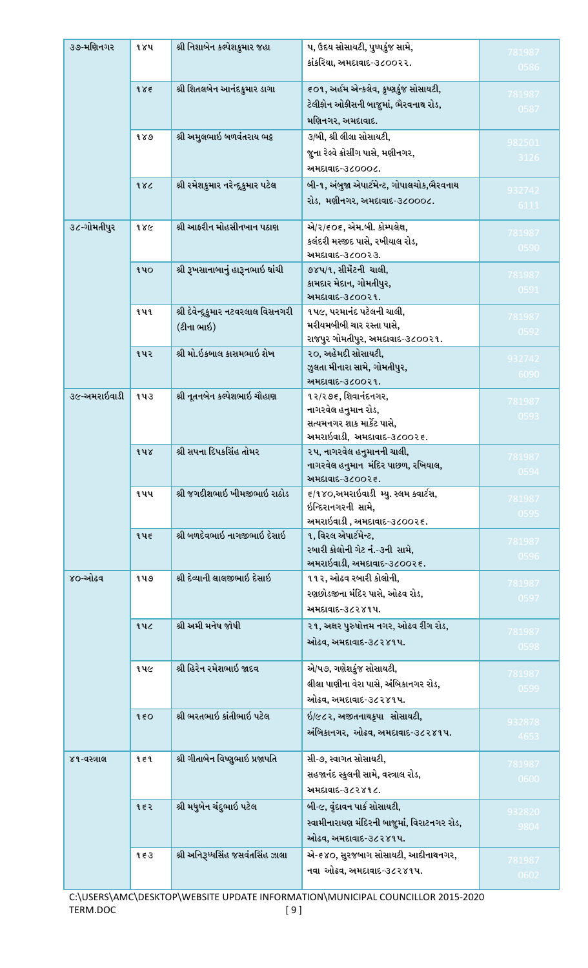| ૩૭-મણિનગર    | १४५        | શ્રી નિશાબેન કલ્પેશકુમાર જહા         | ૫, ઉદય સોસાયટી, પુષ્પકુંજ સામે,                            | 781987         |
|--------------|------------|--------------------------------------|------------------------------------------------------------|----------------|
|              |            |                                      | કાંકરિયા, અમદાવાદ-૩૮૦૦૨૨.                                  | 0586           |
|              |            |                                      |                                                            |                |
|              | 985        | શ્રી શિતલબેન આનંદકુમાર ડાગા          | ૬૦૧, અહીમ એન્કલેવ, કૃષ્ણકુંજ સોસાયટી,                      | 781987         |
|              |            |                                      | ટેલીફોન ઓફીસની બાજુમાં, ભૈરવનાથ રોડ,                       | 0587           |
|              |            |                                      | મણિનગર, અમદાવાદ.                                           |                |
|              | 989        | શ્રી અમુલભાઇ બળવંતરાય ભટ્ટ           | ૩/બી, શ્રી લીલા સોસાયટી,                                   | 982501         |
|              |            |                                      | જુના રેલ્વે ક્રોસીંગ પાસે, મણીનગર,                         | 3126           |
|              |            |                                      | અમદાવાદ-૩૮૦૦૦૮.                                            |                |
|              | 982        | શ્રી રમેશકુમાર નરેન્દ્ર્કુમાર પટેલ   | બી-૧, અંબુજા એપાર્ટમેન્ટ, ગોપાલચોક,ભૈરવનાથ                 | 932742         |
|              |            |                                      | રોડ, મણીનગર, અમદાવાદ-૩૮૦૦૦૮.                               | 6111           |
|              |            |                                      |                                                            |                |
| ૩૮-ગોમતીપુર  | १४૯        | શ્રી આફરીન મોહસીનખાન પઠાણ            | એ/૨/૬૦૬, એમ.બી. કોમ્પલેક્ષ,                                | 781987         |
|              |            |                                      | કલંદરી મસ્જીદ પાસે, રખીયાલ રોડ,                            | 0590           |
|              |            |                                      | અમદાવાદ-૩૮૦૦૨૩.                                            |                |
|              | <b>940</b> | શ્રી રૂખસાનાબાનું હારૂનભાઇ ઘાંચી     | ૭૪૫/૧, સીમેંટની ચાલી,                                      | 781987         |
|              |            |                                      | કામદાર મેદાન, ગોમતીપુર,<br>અમદાવાદ-૩૮૦૦૨૧.                 | 0591           |
|              | <b>949</b> | શ્રી દેવેન્દ્ર્કુમાર નટવરલાલ વિસનગરી | ૧૫૯, પરમાનંદ પટેલની ચાલી,                                  |                |
|              |            |                                      | મરીયમબીબી ચાર રસ્તા પાસે,                                  | 781987         |
|              |            | (ટીના ભાઇ)                           | રાજપુર ગોમતીપુર, અમદાવાદ-૩૮૦૦૨૧.                           | 0592           |
|              | ૧૫૨        | શ્રી મો.ઇકબાલ કાસમભાઇ શેખ            | ૨૦, અહેમદી સોસાયટી,                                        |                |
|              |            |                                      | ઝુલતા મીનારા સામે, ગોમતીપુર,                               | 932742         |
|              |            |                                      | અમદાવાદ-૩૮૦૦૨૧.                                            | 6090           |
| ૩૯-અમરાઇવાડી | १५३        | શ્રી નૂતનબેન કલ્પેશભાઇ ચૌહાણ         | ૧૨/૨૭૬, શિવાનંદનગર,                                        | 781987         |
|              |            |                                      | નાગરવેલ હનુમાન રોડ,                                        | 0593           |
|              |            |                                      | સત્યમનગર શાક માર્કેટ પાસે,                                 |                |
|              |            |                                      | અમરાઇવાડી, અમદાવાદ-૩૮૦૦૨૬.                                 |                |
|              | १५४        | શ્રી સપના દિપકસિંહ તોમર              | ૨૫, નાગરવેલ હનુમાનની ચાલી,                                 | 781987         |
|              |            |                                      | નાગરવેલ હનુમાન  મંદિર પાછળ, રખિયાલ,                        | U594           |
|              |            |                                      | અમદાવાદ-૩૮૦૦૨૬.                                            |                |
|              | ૧૫૫        | શ્રી જગદીશભાઇ ખીમજીભાઇ રાઠોડ         | ૬/૧૪૦,અમરાઇવાડી મ્યુ. સ્લમ ક્વાર્ટસ,<br>ઇન્દિરાનગરની સામે, | 781987         |
|              |            |                                      | અમરાઇવાડી , અમદાવાદ-૩૮૦૦૨૬.                                | 0595           |
|              | १५६        | શ્રી બળદેવભાઇ નાગજીભાઇ દેસાઇ         | ૧, વિરલ એપાર્ટમેન્ટ,                                       |                |
|              |            |                                      | રબારી કોલોની ગેટ નં.-૩ની સામે,                             | 781987         |
|              |            |                                      | અમરાઇવાડી, અમદાવાદ-૩૮૦૦૨૬.                                 | 0596           |
| ૪૦-ઓઢવ       | ૧૫૭        | શ્રી દેવ્યાની લાલજીભાઇ દેસાઇ         | ૧૧૨, ઓઢવ રબારી કોલોની,                                     |                |
|              |            |                                      | રણછોડજીના મંદિર પાસે, ઓઢવ રોડ,                             | 781987         |
|              |            |                                      | અમદાવાદ-૩૮૨૪૧૫.                                            | 0597           |
|              | १५८        | શ્રી અમી મનેષ જોષી                   | ૨૧, અક્ષર પુરુષોત્તમ નગર, ઓઢવ રીંગ રોડ,                    |                |
|              |            |                                      | ઓઢવ, અમદાવાદ-૩૮૨૪૧૫.                                       | 781987         |
|              |            |                                      |                                                            | 0598           |
|              | ૧૫૯        | શ્રી હિરેન રમેશભાઇ જાદવ              | એ/૫૭, ગણેશકુંજ સોસાયટી,                                    |                |
|              |            |                                      | લીલા પાણીના વેરા પાસે, અંબિકાનગર રોડ,                      | 781987<br>0599 |
|              |            |                                      | ઓઢવ, અમદાવાદ-૩૮૨૪૧૫.                                       |                |
|              | 950        | શ્રી ભરતભાઇ કાંતીભાઇ પટેલ            | ઇ/૯૮૨, અજીતનાથક્રપા સોસાયટી,                               |                |
|              |            |                                      | અંબિકાનગર, ઓઢવ, અમદાવાદ-૩૮૨૪૧૫.                            | 932878         |
|              |            |                                      |                                                            | 4653           |
| ૪૧-વસ્ત્રાલ  | १६१        | શ્રી ગીતાબેન વિષ્ણુભાઇ પ્રજાપતિ      | સી-૭, સ્વાગત સોસાયટી,                                      | 781987         |
|              |            |                                      | સહજાનંદ સ્કુલની સામે, વસ્ત્રાલ રોડ,                        | 0600           |
|              |            |                                      | અમદાવાદ-૩૮૨૪૧૮.                                            |                |
|              | 952        | શ્રી મધુબેન ચંદુભાઇ પટેલ             | બી-૯, વૃંદાવન પાર્ક સોસાયટી,                               |                |
|              |            |                                      | સ્વામીનારાયણ મંદિરની બાજુમાં, વિરાટનગર રોડ,                | 932820         |
|              |            |                                      | ઓઢવ, અમદાવાદ-૩૮૨૪૧૫.                                       | 9804           |
|              | 9.53       | શ્રી અનિરૂધ્ધસિંહ જસવંતસિંહ ઝાલા     | એ-૬૪૦, સુરજબાગ સોસાયટી, આદીનાથનગર,                         |                |
|              |            |                                      |                                                            | 781987         |
|              |            |                                      | નવા ઓઢવ, અમદાવાદ-૩૮૨૪૧૫.                                   | 0602           |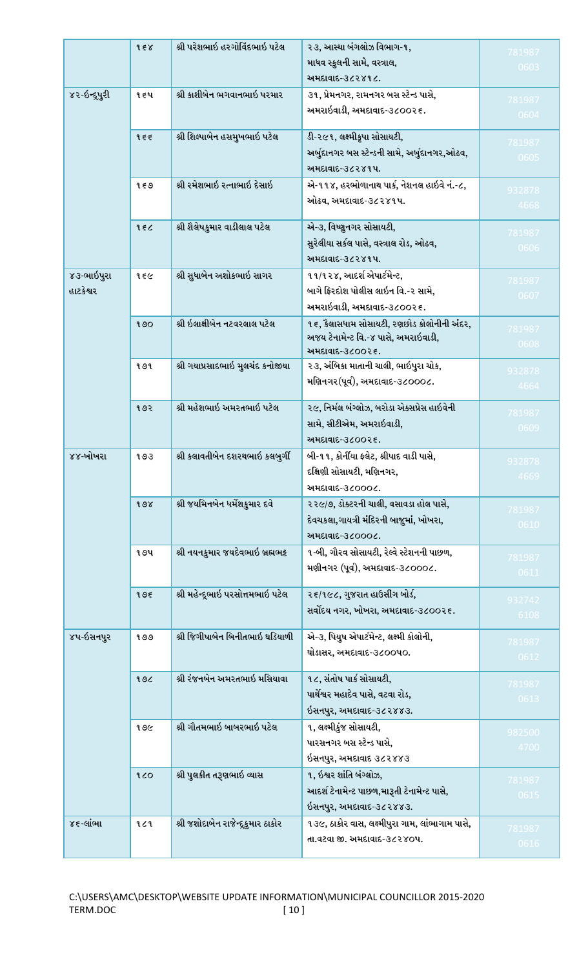|                | 9.58       | શ્રી પરેશભાઇ હરગોવિંદભાઇ પટેલ     | ૨૩, આસ્થા બંગલોઝ વિભાગ-૧,                               | 781987         |
|----------------|------------|-----------------------------------|---------------------------------------------------------|----------------|
|                |            |                                   | માધવ સ્કુલની સામે, વસ્ત્રાલ,                            | 0603           |
|                |            |                                   | અમદાવાદ-૩૮૨૪૧૮.                                         |                |
| ४२-ઇન્દ્ર્પુરી | १६५        | શ્રી કાશીબેન ભગવાનભાઇ પરમાર       | ૩૧, પ્રેમનગર, રામનગર બસ સ્ટેન્ડ પાસે,                   | 781987         |
|                |            |                                   | અમરાઇવાડી, અમદાવાદ-૩૮૦૦૨૬.                              | 0604           |
|                |            |                                   |                                                         |                |
|                | 955        | શ્રી શિલ્પાબેન હસમુખભાઇ પટેલ      | ડી-૨૯૧, લક્ષ્મીકૃપા સોસાયટી,                            | 781987         |
|                |            |                                   | અર્બુદાનગર બસ સ્ટેન્ડની સામે, અર્બુદાનગર,ઓઢવ,           | 0605           |
|                |            |                                   | અમદાવાદ-૩૮૨૪૧૫.                                         |                |
|                | १६७        | શ્રી રમેશભાઇ રત્નાભાઇ દેસાઇ       | એ-૧૧૪, હરભોળાનાથ પાર્ક, નેશનલ હાઇવે નં.-૮,              | 932878         |
|                |            |                                   | ઓઢવ, અમદાવાદ-૩૮૨૪૧૫.                                    | 4668           |
|                |            |                                   |                                                         |                |
|                | 986        | શ્રી શૈલેષકુમાર વાડીલાલ પટેલ      | એ-૩, વિષ્ણુનગર સોસાયટી,                                 | 781987         |
|                |            |                                   | સુરેલીયા સર્કલ પાસે, વસ્ત્રાલ રોડ, ઓઢવ,                 | 0606           |
|                |            |                                   | અમદાવાદ-૩૮૨૪૧૫.                                         |                |
| ૪૩-ભાઇપુરા     | १६૯        | શ્રી સુધાબેન અશોકભાઇ સાગર         | ૧૧/૧૨૪, આદર્શ એપાર્ટમેન્ટ,                              | 781987         |
| હાટકેશ્વર      |            |                                   | બાગે ફિરદોશ પોલીસ લાઇન વિ.-૨ સામે,                      | 0607           |
|                |            |                                   | અમરાઇવાડી, અમદાવાદ-૩૮૦૦૨૬.                              |                |
|                | 90         | શ્રી ઇલાક્ષીબેન નટવરલાલ પટેલ      | ૧૬, કેલાસધામ સોસાયટી, રણછોડ કોલોનીની અંદર,              | 781987         |
|                |            |                                   | અજય ટેનામેન્ટ વિ.-૪ પાસે, અમરાઇવાડી,                    | 0608           |
|                | १७१        | શ્રી ગયાપ્રસાદભાઇ મુલચંદ કનોજીયા  | અમદાવાદ-૩૮૦૦૨૬.<br>૨૩, અંબિકા માતાની ચાલી, ભાઇપુરા ચોક, |                |
|                |            |                                   | મણિનગર(પૂર્વ), અમદાવાદ-૩૮૦૦૦૮.                          | 932878         |
|                |            |                                   |                                                         | 4664           |
|                | १७२        | શ્રી મહેશભાઇ અમરતભાઇ પટેલ         | ૨૯, નિર્મલ બંગ્લોઝ, બરોડા એક્સપ્રેસ હાઇવેની             |                |
|                |            |                                   | સામે, સીટીએમ, અમરાઇવાડી,                                | 781987<br>0609 |
|                |            |                                   | અમદાવાદ-૩૮૦૦૨૬.                                         |                |
| ૪૪-ખોખરા       | १७३        | શ્રી કલાવતીબેન દશરથભાઇ કલબુર્ગી   | બી-૧૧, કોર્નીયા ફ્લેટ, શ્રીપાદ વાડી પાસે,               |                |
|                |            |                                   | દક્ષિણી સોસાયટી, મણિનગર,                                | 932878<br>4669 |
|                |            |                                   | અમદાવાદ-૩૮૦૦૦૮.                                         |                |
|                | 98         | શ્રી જયમિનબેન ધર્મેશકુમાર દવે     | ૨૨૯/૭, ડોક્ટરની ચાલી, વસાવડા હોલ પાસે,                  |                |
|                |            |                                   | દેવચકલા,ગાયત્રી મંદિરની બાજુમાં, ખોખરા,                 | 781987         |
|                |            |                                   | અમદાવાદ-૩૮૦૦૦૮.                                         | 0610           |
|                | <b>994</b> | શ્રી નયનકુમાર જયદેવભાઇ બ્રહ્મભટ્ટ | ૧-બી, ગૌરવ સોસાયટી, રેલ્વે સ્ટેશનની પાછળ,               |                |
|                |            |                                   | મણીનગર (પૂર્વ), અમદાવાદ-૩૮૦૦૦૮.                         | 781987         |
|                |            |                                   |                                                         | 0611           |
|                | 995        | શ્રી મહેન્દ્રભાઇ પરસોત્તમભાઇ પટેલ | ૨૬/૧૯૮, ગુજરાત હાઉસીંગ બોર્ડ,                           | 932742         |
|                |            |                                   | સર્વોદય નગર, ખોખરા, અમદાવાદ-૩૮૦૦૨૬.                     | 6108           |
|                |            |                                   |                                                         |                |
| ૪૫-ઇસનપુર      | १७७        | શ્રી જિગીષાબેન બિનીતભાઇ ઘડિયાળી   | એ-૩, પિયુષ એપાર્ટમેન્ટ, લક્ષ્મી કોલોની,                 | 781987         |
|                |            |                                   | ઘોડાસર, અમદાવાદ-૩૮૦૦૫૦.                                 | 0612           |
|                | 196        | શ્રી રંજનબેન અમરતભાઇ મસિયાવા      | ૧૮, સંતોષ પાર્ક સોસાયટી,                                |                |
|                |            |                                   | પાર્થેશ્વર મહાદેવ પાસે, વટવા રોડ,                       | 781987         |
|                |            |                                   | ઇસનપુર, અમદાવાદ-૩૮૨૪૪૩.                                 | 0613           |
|                | १७૯        | શ્રી ગૌતમભાઇ બાબરભાઇ પટેલ         | ૧, લક્ષ્મીકુંજ સોસાયટી,                                 |                |
|                |            |                                   | પારસનગર બસ સ્ટેન્ડ પાસે,                                | 982500         |
|                |            |                                   | ઇસનપુર, અમદાવાદ ૩૮૨૪૪૩                                  | 4700           |
|                |            |                                   | ૧, ઇશ્વર શાંતિ બંગ્લોઝ,                                 |                |
|                | 20         | શ્રી પુલકીત તરૂણભાઇ વ્યાસ         |                                                         | 781987         |
|                |            |                                   | આદર્શ ટેનામેન્ટ પાછળ,મારૂતી ટેનામેન્ટ પાસે,             | 0615           |
|                |            |                                   | ઇસનપુર, અમદાવાદ-૩૮૨૪૪૩.                                 |                |
|                |            |                                   |                                                         |                |
| ૪૬-લાંભા       | 929        | શ્રી જશોદાબેન રાજેન્દૂકુમાર ઠાકોર | ૧૩૯, ઠાકોર વાસ, લક્ષ્મીપુરા ગામ, લાંભાગામ પાસે,         | 781987         |
|                |            |                                   | તા.વટવા જી. અમદાવાદ-૩૮૨૪૦૫.                             | 0616           |